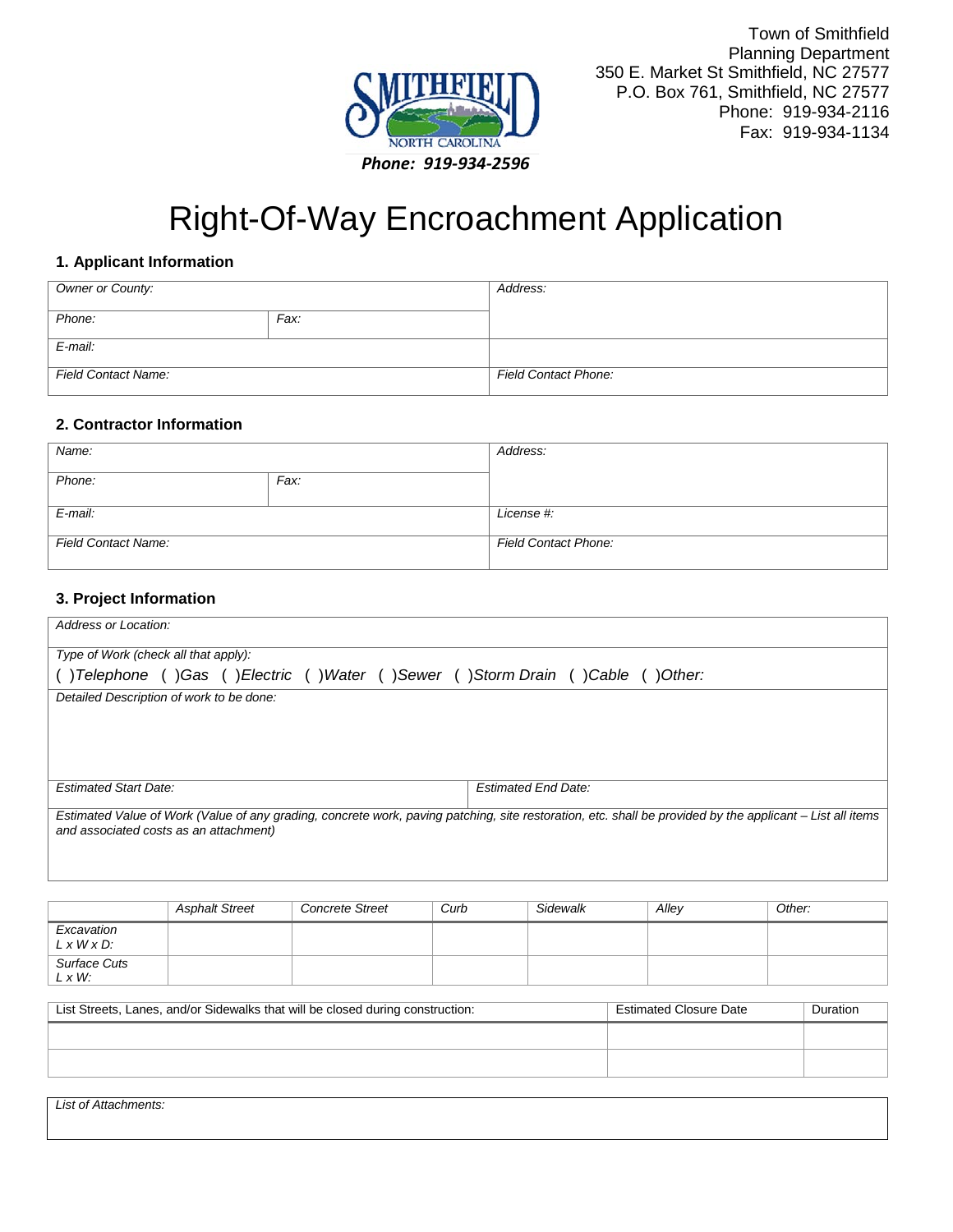

# Right-Of-Way Encroachment Application

#### **1. Applicant Information**

| Owner or County:           |      | Address:                    |
|----------------------------|------|-----------------------------|
| Phone:                     | Fax: |                             |
| $E$ -mail:                 |      |                             |
| <b>Field Contact Name:</b> |      | <b>Field Contact Phone:</b> |

#### **2. Contractor Information**

| Name:                      |      | Address:                    |
|----------------------------|------|-----------------------------|
| Phone:                     | Fax: |                             |
| E-mail:                    |      | License #:                  |
| <b>Field Contact Name:</b> |      | <b>Field Contact Phone:</b> |

#### **3. Project Information**

| Address or Location:                                                        |                                                                                                                                                           |
|-----------------------------------------------------------------------------|-----------------------------------------------------------------------------------------------------------------------------------------------------------|
| Type of Work (check all that apply):                                        |                                                                                                                                                           |
| ()Telephone ()Gas ()Electric ()Water ()Sewer ()Storm Drain ()Cable ()Other: |                                                                                                                                                           |
| Detailed Description of work to be done:                                    |                                                                                                                                                           |
|                                                                             |                                                                                                                                                           |
|                                                                             |                                                                                                                                                           |
|                                                                             |                                                                                                                                                           |
|                                                                             |                                                                                                                                                           |
| <b>Estimated Start Date:</b>                                                | <b>Estimated End Date:</b>                                                                                                                                |
|                                                                             | Estimated Value of Work (Value of any grading, concrete work, paving patching, site restoration, etc. shall be provided by the applicant – List all items |
| and associated costs as an attachment)                                      |                                                                                                                                                           |
|                                                                             |                                                                                                                                                           |
|                                                                             |                                                                                                                                                           |

|                                       | <b>Asphalt Street</b> | <b>Concrete Street</b> | Curb | Sidewalk | Alley | Other: |
|---------------------------------------|-----------------------|------------------------|------|----------|-------|--------|
| Excavation<br>$L \times W \times D$ : |                       |                        |      |          |       |        |
| Surface Cuts<br>$L \times W$ :        |                       |                        |      |          |       |        |

| List Streets, Lanes, and/or Sidewalks that will be closed during construction: | <b>Estimated Closure Date</b> | Duration |
|--------------------------------------------------------------------------------|-------------------------------|----------|
|                                                                                |                               |          |
|                                                                                |                               |          |

*List of Attachments:*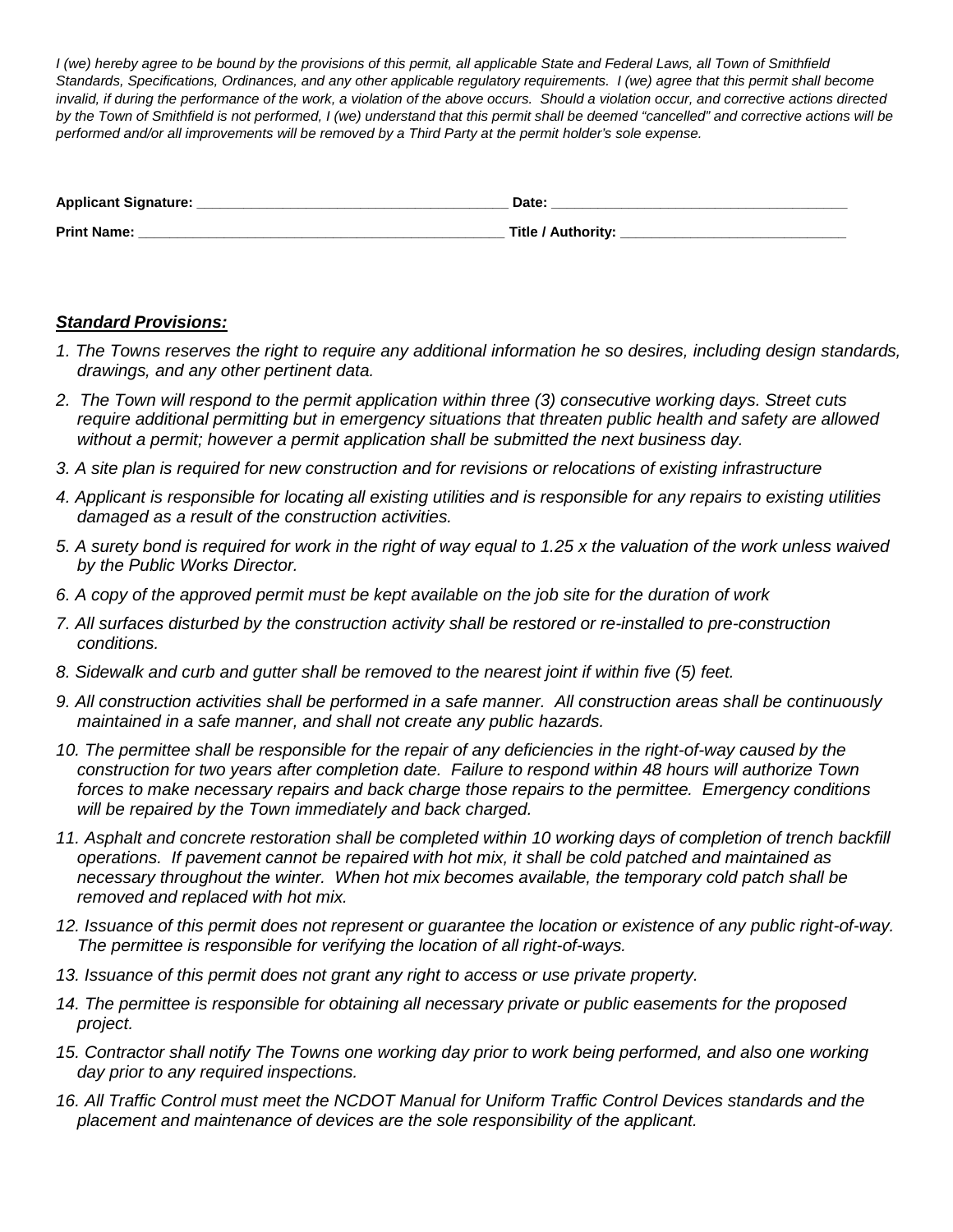*I (we) hereby agree to be bound by the provisions of this permit, all applicable State and Federal Laws, all Town of Smithfield Standards, Specifications, Ordinances, and any other applicable regulatory requirements. I (we) agree that this permit shall become invalid, if during the performance of the work, a violation of the above occurs. Should a violation occur, and corrective actions directed by the Town of Smithfield is not performed, I (we) understand that this permit shall be deemed "cancelled" and corrective actions will be performed and/or all improvements will be removed by a Third Party at the permit holder's sole expense.*

| <b>Applicant Signature:</b> | Date:              |
|-----------------------------|--------------------|
| <b>Print Name:</b>          | Title / Authority: |

#### *Standard Provisions:*

- *1. The Towns reserves the right to require any additional information he so desires, including design standards, drawings, and any other pertinent data.*
- *2. The Town will respond to the permit application within three (3) consecutive working days. Street cuts require additional permitting but in emergency situations that threaten public health and safety are allowed without a permit; however a permit application shall be submitted the next business day.*
- *3. A site plan is required for new construction and for revisions or relocations of existing infrastructure*
- *4. Applicant is responsible for locating all existing utilities and is responsible for any repairs to existing utilities damaged as a result of the construction activities.*
- *5. A surety bond is required for work in the right of way equal to 1.25 x the valuation of the work unless waived by the Public Works Director.*
- *6. A copy of the approved permit must be kept available on the job site for the duration of work*
- *7. All surfaces disturbed by the construction activity shall be restored or re-installed to pre-construction conditions.*
- *8. Sidewalk and curb and gutter shall be removed to the nearest joint if within five (5) feet.*
- *9. All construction activities shall be performed in a safe manner. All construction areas shall be continuously maintained in a safe manner, and shall not create any public hazards.*
- *10. The permittee shall be responsible for the repair of any deficiencies in the right-of-way caused by the construction for two years after completion date. Failure to respond within 48 hours will authorize Town forces to make necessary repairs and back charge those repairs to the permittee. Emergency conditions will be repaired by the Town immediately and back charged.*
- 11. Asphalt and concrete restoration shall be completed within 10 working days of completion of trench backfill *operations. If pavement cannot be repaired with hot mix, it shall be cold patched and maintained as necessary throughout the winter. When hot mix becomes available, the temporary cold patch shall be removed and replaced with hot mix.*
- *12. Issuance of this permit does not represent or guarantee the location or existence of any public right-of-way. The permittee is responsible for verifying the location of all right-of-ways.*
- *13. Issuance of this permit does not grant any right to access or use private property.*
- *14. The permittee is responsible for obtaining all necessary private or public easements for the proposed project.*
- *15. Contractor shall notify The Towns one working day prior to work being performed, and also one working day prior to any required inspections.*
- *16. All Traffic Control must meet the NCDOT Manual for Uniform Traffic Control Devices standards and the placement and maintenance of devices are the sole responsibility of the applicant.*